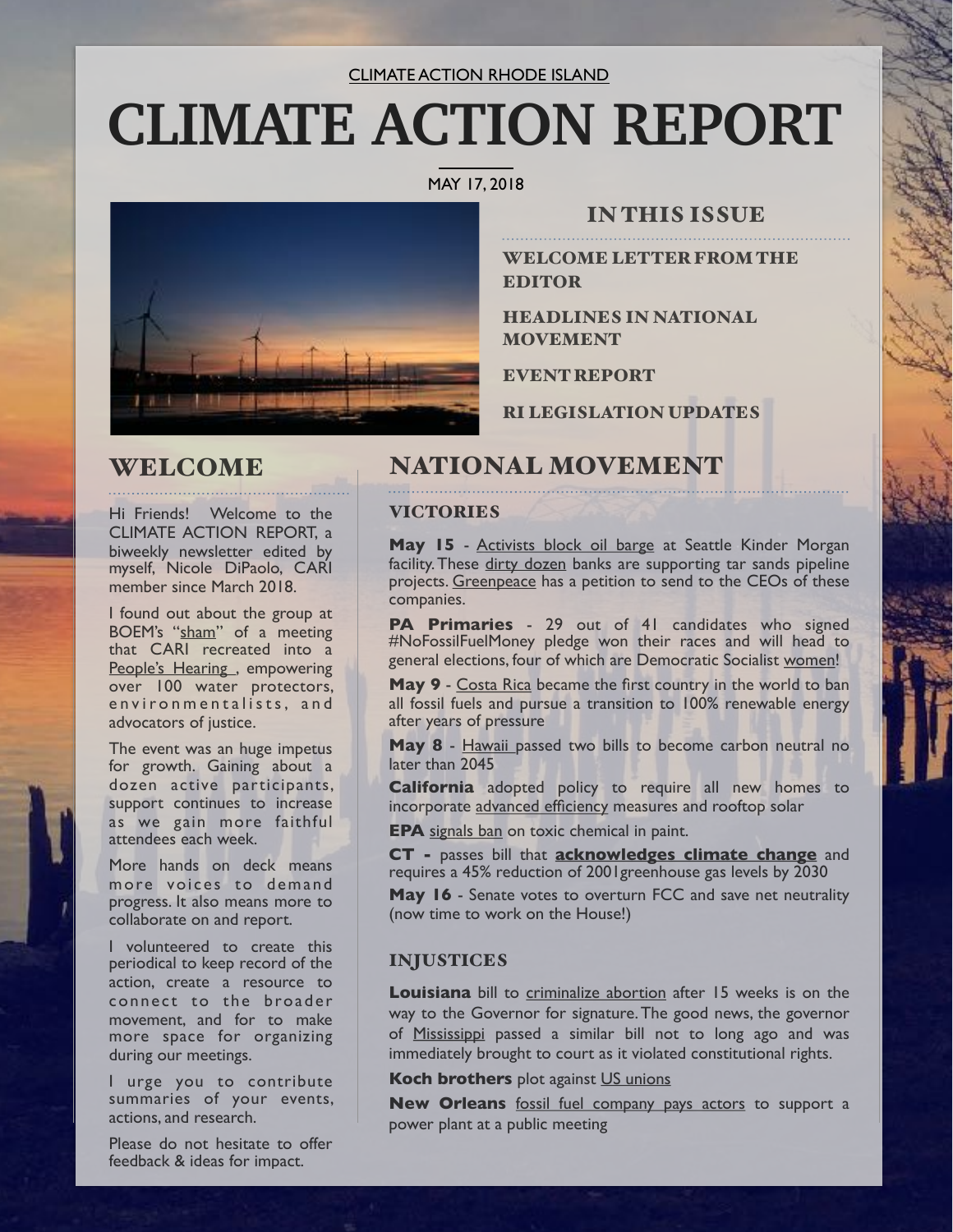#### CLIMATE ACTION RHODE ISLAND

# **CLIMATE ACTION REPORT**

#### MAY 17, 2018



### IN THIS ISSUE

WELCOME LETTER FROM THE EDITOR

HEADLINES IN NATIONAL MOVEMENT

EVENT REPORT

RI LEGISLATION UPDATES

## WELCOME

Hi Friends! Welcome to the CLIMATE ACTION REPORT, a biweekly newsletter edited by myself, Nicole DiPaolo, CARI member since March 2018.

I found out about the group at BOEM's "[sham"](https://upriseri.com/news/environment/offshore-drilling/2018-03-01-peoples-hearing-offshore-drilling/) of a meeting that CARI recreated into a People's Hearing, empowering over 100 water protectors, environmentalists, and advocators of justice.

The event was an huge impetus for growth. Gaining about a dozen active participants, support continues to increase as we gain more faithful attendees each week.

More hands on deck means more voices to demand progress. It also means more to collaborate on and report.

I volunteered to create this periodical to keep record of the action, create a resource to connect to the broader movement, and for to make more space for organizing during our meetings.

I urge you to contribute summaries of your events, actions, and research.

**Example 2** ideas for impact. Please do not hesitate to offer

## NATIONAL MOVEMENT

#### **VICTORIES**

**May 15** - [Activists block oil barge](https://www.greenpeace.org/usa/news/breaking-greenpeace-usa-mosquito-fleet-activists-block-oil-barge-from-entering-kinder-morgans-seattle-facility/) at Seattle Kinder Morgan facility. These [dirty dozen](https://www.greenpeace.org/usa/who-are-the-dirty-dozen-banks/) banks are supporting tar sands pipeline projects. [Greenpeace](https://engage.us.greenpeace.org/onlineactions/zyimtyaQR0Ox7COnLmJZRw2?emci=59110fc5-1158-e811-80c3-00155da78012&emdi=2722f0e9-7958-e811-80c3-00155da78012&fn=Nicole&ln=Dipaolo&em=nicolelenadipaolo@gmail.com&pc=&hp=&mp=4014400665&utm_source=ea&utm_medium=email&utm_campaign=180515_pipeactiondirty1ns&sourceid=1003642) has a petition to send to the CEOs of these companies.

**PA Primaries** - 29 out of 41 candidates who signed #NoFossilFuelMoney pledge won their races and will head to general elections, four of which are Democratic Socialist [women!](https://www.democracynow.org/2018/5/16/a_wake_up_call_for_dems?utm_source=Democracy+Now!&utm_campaign=d783178091-Daily_Digest&utm_medium=email&utm_term=0_fa2346a853-d783178091-191854817)

**May 9** - [Costa Rica](https://www.independent.co.uk/environment/costa-rica-fossil-fuels-ban-president-carlos-alvarado-climate-change-global-warming-a8344541.html?link_id=0&can_id=c851b458f0f8a4c881a22ea8b1f50e68&source=email-feel-good-on-a-friday&email_referrer=email_352180___subject_431604&email_subject=feel-good-on-a-friday) became the first country in the world to ban all fossil fuels and pursue a transition to 100% renewable energy after years of pressure

**May 8** - [Hawaii](https://qz.com/1273362/hawaii-has-passed-laws-pledging-to-become-carbon-neutral-by-2045/?link_id=1&can_id=c851b458f0f8a4c881a22ea8b1f50e68&source=email-feel-good-on-a-friday&email_referrer=email_352180___subject_431604&email_subject=feel-good-on-a-friday) passed two bills to become carbon neutral no later than 2045

**California** adopted policy to require all new homes to incorporate [advanced efficiency](https://www.greentechmedia.com/articles/read/solar-mandate-all-new-california-homes#gs.J342WrU) measures and rooftop solar

**EPA** [signals ban](https://www.washingtonpost.com/news/powerpost/paloma/the-energy-202/2018/05/11/the-energy-202-mothers-lobbied-scott-pruitt-to-ban-a-toxic-chemical-two-days-later-epa-signaled-it-would/5af4aff530fb042588799467/) on toxic chemical in paint.

**CT -** passes bill that **[acknowledges climate change](https://www.ctpost.com/news/article/Senate-passes-climate-change-bill-12899489.php)** and requires a 45% reduction of 2001greenhouse gas levels by 2030

**May 16** - Senate votes to overturn FCC and save net neutrality (now time to work on the House!)

#### INJUSTICES

**Louisiana** bill to [criminalize abortion](http://www.theadvocate.com/baton_rouge/news/politics/legislature/article_a4bfcf60-5919-11e8-a587-ab4c964e3689.html) after 15 weeks is on the way to the Governor for signature. The good news, the governor of [Mississippi](https://www.nytimes.com/2018/03/19/us/mississippi-abortion-ban.html) passed a similar bill not to long ago and was immediately brought to court as it violated constitutional rights.

**Koch brothers** plot against [US unions](https://www.theguardian.com/us-news/2018/may/15/rightwing-thinktanks-secret-plot-against-unions)

**New Orleans** [fossil fuel company pays actors](https://www.npr.org/sections/thetwo-way/2018/05/05/608785751/new-orleans-news-site-finds-actors-were-paid-to-support-a-power-plant?utm_source=facebook.com&utm_medium=social&utm_campaign=npr&utm_term=nprnews&utm_content=20180506) to support a power plant at a public meeting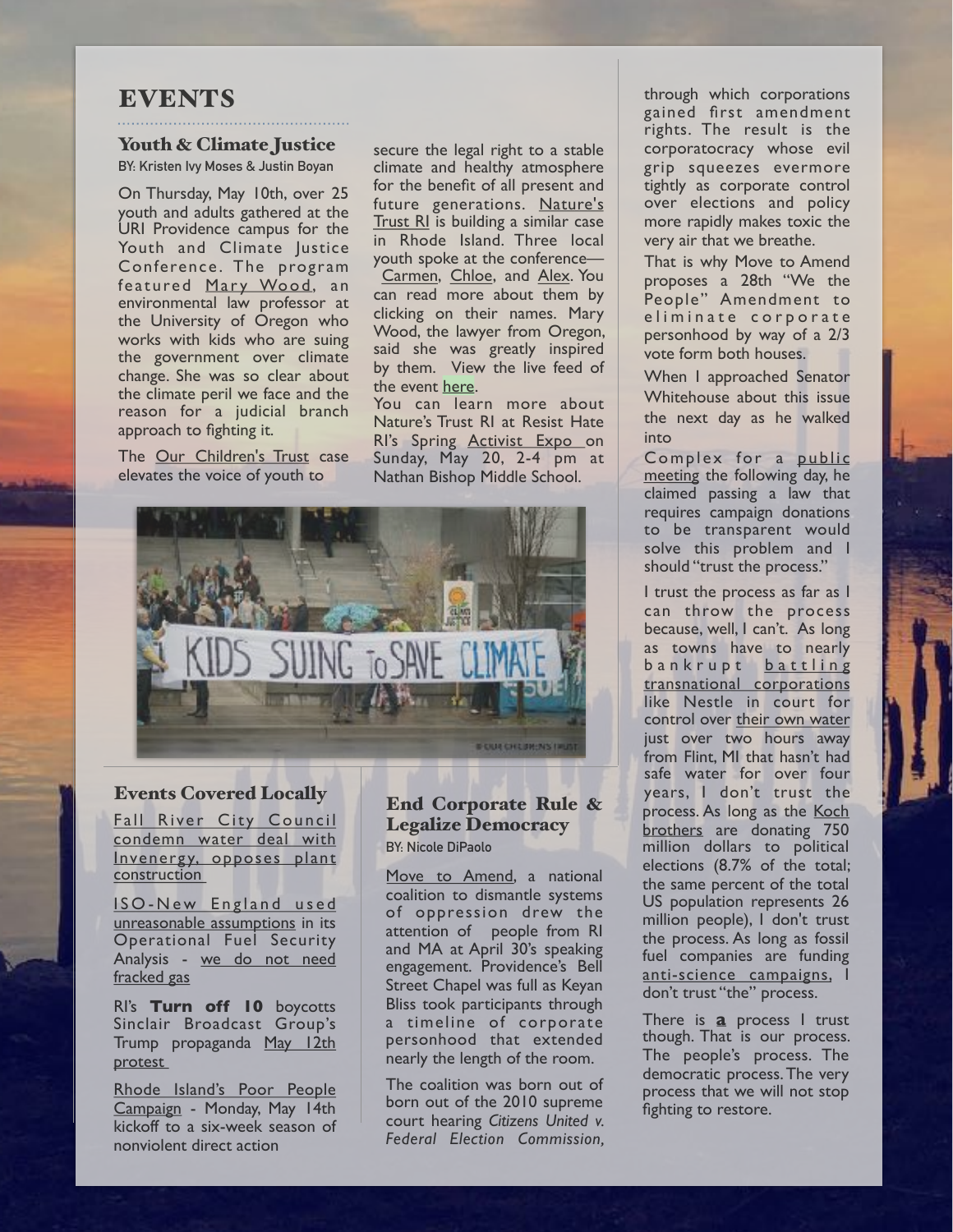#### **EVENTS**

#### Youth & Climate Justice

**BY: Kristen Ivy Moses & Justin Boyan** 

On Thursday, May 10th, over 25 youth and adults gathered at the URI Providence campus for the Youth and Climate Justice Conference. The program featured Mary Wood, an environmental law professor at the University of Oregon who works with kids who are suing the government over climate change. She was so clear about the climate peril we face and the reason for a judicial branch approach to fighting it.

The [Our Children's Trust](https://www.ourchildrenstrust.org/) case elevates the voice of youth to

secure the legal right to a stable climate and healthy atmosphere for the benefit of all present and future generations. [Nature's](https://naturestrustri.org/) [Trust RI](https://naturestrustri.org/) is building a similar case in Rhode Island. Three local youth spoke at the conference— [Carmen](https://naturestrustri.org/youth-and-young-adults-speak-out-2/#carmen), [Chloe](https://naturestrustri.org/youth-and-young-adults-speak-out-2/#chloe), and [Alex](https://naturestrustri.org/youth-and-young-adults-speak-out-2/#alex). You can read more about them by clicking on their names. Mary Wood, the lawyer from Oregon, said she was greatly inspired by them. View the live feed of the event <u>[here](https://www.facebook.com/john.gonzalez.9619/videos/2126296937386970/)</u>.<br>You can learn more about

Nature's Trust RI at Resist Hate RI's Spring **Activist Expo** on Sunday, May 20, 2-4 pm at Nathan Bishop Middle School.



#### Events Covered Locally

Fall River City Council condemn water deal with Invenergy, opposes plant [construction](http://Fall%20River%20City%20Council%20condemns%20water%20deal%20with%20Invenergy,%20opposes%20plant%20construction) 

ISO-New England used [unreasonable assumptions](https://upriseri.com/news/energy/2018-05-03-iso-wwrong-on-gas/) in its Operational Fuel Security Analysis - we do not need [fracked gas](https://upriseri.com/news/energy/2018-05-03-iso-wwrong-on-gas/)

RI's **Turn off 10** boycotts Sinclair Broadcast Group's Trump propaganda May 12th [protest](https://upriseri.com/news/media/2018-05-14-turn-to-10/) 

[Rhode Island's Poor People](https://upriseri.com/news/religion/2018-05-18-ri-poor-peoples-campaign/)  [Campaign](https://upriseri.com/news/religion/2018-05-18-ri-poor-peoples-campaign/) - Monday, May 14th kickoff to a six-week season of nonviolent direct action

#### End Corporate Rule & Legalize Democracy **BY: Nicole DiPaolo**

[Move to Amend,](https://movetoamend.org/) a national coalition to dismantle systems of oppression drew the attention of people from RI and MA at April 30's speaking engagement. Providence's Bell Street Chapel was full as Keyan Bliss took participants through a timeline of corporate personhood that extended nearly the length of the room.

The coalition was born out of born out of the 2010 supreme court hearing *Citizens United v. Federal Election Commission,*  through which corporations gained first amendment rights. The result is the corporatocracy whose evil grip squeezes evermore tightly as corporate control over elections and policy more rapidly makes toxic the very air that we breathe.

That is why Move to Amend proposes a 28th "We the People" Amendment to eliminate corporate personhood by way of a 2/3 vote form both houses.

When I approached Senator Whitehouse about this issue the next day as he walked into

Complex for a [public](https://upriseri.com/news/elections/elections-2018/2018-05-01-whitehouse-elorza/) [meeting](https://upriseri.com/news/elections/elections-2018/2018-05-01-whitehouse-elorza/) the following day, he claimed passing a law that requires campaign donations to be transparent would solve this problem and I should "trust the process."

I trust the process as far as I can throw the process because, well, I can't. As long as towns have to nearly bankrupt battling [transnational corporations](http://www.dailymail.co.uk/wires/afp/article-5349151/Tiny-Michigan-town-water-fight-Nestle.html) like Nestle in court for control over [their own water](https://www.freep.com/story/news/2018/04/02/michigan-oks-nestle-permit-increased-water-withdrawal-bottled-water-plant/479896002/) just over two hours away from Flint, MI that hasn't had safe water for over four years, I don't trust the process. As long as the Koch [brothers](https://www.corp-research.org/koch_industries) are donating 750 million dollars to political elections (8.7% of the total; the same percent of the total US population represents 26 million people), I don't trust the process. As long as fossil fuel companies are funding [anti-science campaigns,](https://www.ucsusa.org/publications/catalyst/su15-documenting-fossil-fuel-companies-climate-deception#.Wv0LntMvzVo) I don't trust "the" process.

There is **a** process I trust though. That is our process. The people's process. The democratic process. The very process that we will not stop fighting to restore.